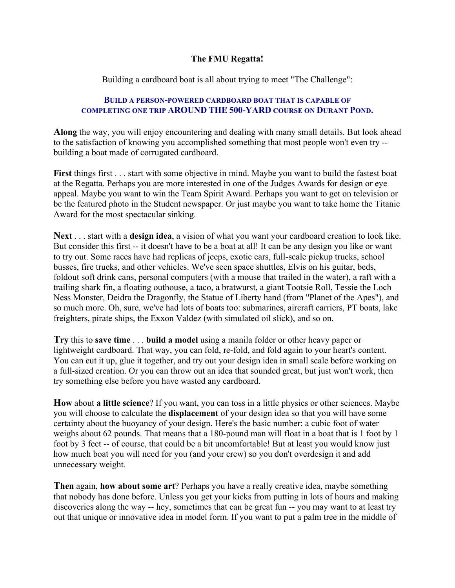## **The FMU Regatta!**

Building a cardboard boat is all about trying to meet "The Challenge":

## **BUILD A PERSON-POWERED CARDBOARD BOAT THAT IS CAPABLE OF COMPLETING ONE TRIP AROUND THE 500-YARD COURSE ON DURANT POND.**

**Along** the way, you will enjoy encountering and dealing with many small details. But look ahead to the satisfaction of knowing you accomplished something that most people won't even try - building a boat made of corrugated cardboard.

**First** things first . . . start with some objective in mind. Maybe you want to build the fastest boat at the Regatta. Perhaps you are more interested in one of the Judges Awards for design or eye appeal. Maybe you want to win the Team Spirit Award. Perhaps you want to get on television or be the featured photo in the Student newspaper. Or just maybe you want to take home the Titanic Award for the most spectacular sinking.

**Next** . . . start with a **design idea**, a vision of what you want your cardboard creation to look like. But consider this first -- it doesn't have to be a boat at all! It can be any design you like or want to try out. Some races have had replicas of jeeps, exotic cars, full-scale pickup trucks, school busses, fire trucks, and other vehicles. We've seen space shuttles, Elvis on his guitar, beds, foldout soft drink cans, personal computers (with a mouse that trailed in the water), a raft with a trailing shark fin, a floating outhouse, a taco, a bratwurst, a giant Tootsie Roll, Tessie the Loch Ness Monster, Deidra the Dragonfly, the Statue of Liberty hand (from "Planet of the Apes"), and so much more. Oh, sure, we've had lots of boats too: submarines, aircraft carriers, PT boats, lake freighters, pirate ships, the Exxon Valdez (with simulated oil slick), and so on.

**Try** this to **save time** . . . **build a model** using a manila folder or other heavy paper or lightweight cardboard. That way, you can fold, re-fold, and fold again to your heart's content. You can cut it up, glue it together, and try out your design idea in small scale before working on a full-sized creation. Or you can throw out an idea that sounded great, but just won't work, then try something else before you have wasted any cardboard.

**How** about **a little science**? If you want, you can toss in a little physics or other sciences. Maybe you will choose to calculate the **displacement** of your design idea so that you will have some certainty about the buoyancy of your design. Here's the basic number: a cubic foot of water weighs about 62 pounds. That means that a 180-pound man will float in a boat that is 1 foot by 1 foot by 3 feet -- of course, that could be a bit uncomfortable! But at least you would know just how much boat you will need for you (and your crew) so you don't overdesign it and add unnecessary weight.

**Then** again, **how about some art**? Perhaps you have a really creative idea, maybe something that nobody has done before. Unless you get your kicks from putting in lots of hours and making discoveries along the way -- hey, sometimes that can be great fun -- you may want to at least try out that unique or innovative idea in model form. If you want to put a palm tree in the middle of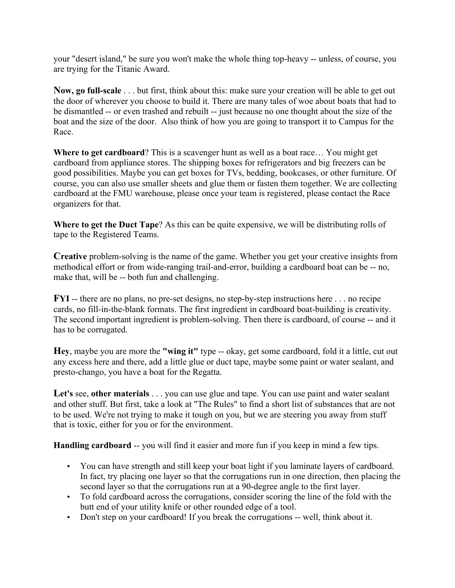your "desert island," be sure you won't make the whole thing top-heavy -- unless, of course, you are trying for the Titanic Award.

**Now, go full-scale** . . . but first, think about this: make sure your creation will be able to get out the door of wherever you choose to build it. There are many tales of woe about boats that had to be dismantled -- or even trashed and rebuilt -- just because no one thought about the size of the boat and the size of the door. Also think of how you are going to transport it to Campus for the Race.

**Where to get cardboard**? This is a scavenger hunt as well as a boat race… You might get cardboard from appliance stores. The shipping boxes for refrigerators and big freezers can be good possibilities. Maybe you can get boxes for TVs, bedding, bookcases, or other furniture. Of course, you can also use smaller sheets and glue them or fasten them together. We are collecting cardboard at the FMU warehouse, please once your team is registered, please contact the Race organizers for that.

**Where to get the Duct Tape**? As this can be quite expensive, we will be distributing rolls of tape to the Registered Teams.

**Creative** problem-solving is the name of the game. Whether you get your creative insights from methodical effort or from wide-ranging trail-and-error, building a cardboard boat can be -- no, make that, will be -- both fun and challenging.

**FYI** -- there are no plans, no pre-set designs, no step-by-step instructions here . . . no recipe cards, no fill-in-the-blank formats. The first ingredient in cardboard boat-building is creativity. The second important ingredient is problem-solving. Then there is cardboard, of course -- and it has to be corrugated.

**Hey**, maybe you are more the **"wing it"** type -- okay, get some cardboard, fold it a little, cut out any excess here and there, add a little glue or duct tape, maybe some paint or water sealant, and presto-chango, you have a boat for the Regatta.

Let's see, other materials . . . you can use glue and tape. You can use paint and water sealant and other stuff. But first, take a look at "The Rules" to find a short list of substances that are not to be used. We're not trying to make it tough on you, but we are steering you away from stuff that is toxic, either for you or for the environment.

**Handling cardboard** -- you will find it easier and more fun if you keep in mind a few tips.

- You can have strength and still keep your boat light if you laminate layers of cardboard. In fact, try placing one layer so that the corrugations run in one direction, then placing the second layer so that the corrugations run at a 90-degree angle to the first layer.
- To fold cardboard across the corrugations, consider scoring the line of the fold with the butt end of your utility knife or other rounded edge of a tool.
- Don't step on your cardboard! If you break the corrugations -- well, think about it.